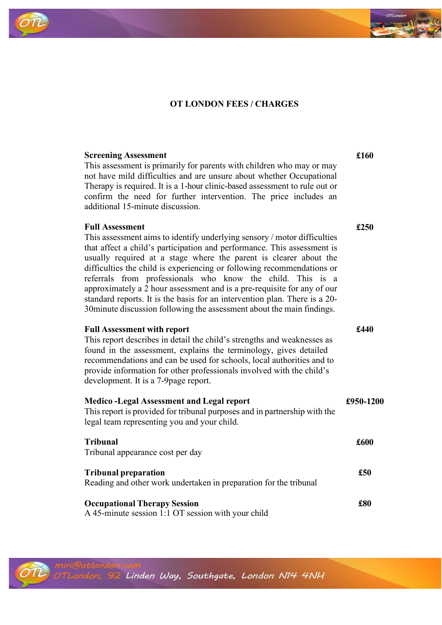# **OT LONDON FEES / CHARGES**

### **Screening Assessment**

This assessment is primarily for parents with children who may or may not have mild difficulties and are unsure about whether Occupational Therapy is required. It is a 1-hour clinic-based assessment to rule out or confirm the need for further intervention. The price includes an additional 15-minute discussion.

### **Full Assessment**

This assessment aims to identify underlying sensory / motor difficulties that affect a child's participation and performance. This assessment is usually required at a stage where the parent is clearer about the difficulties the child is experiencing or following recommendations or referrals from professionals who know the child. This is a approximately a 2 hour assessment and is a pre-requisite for any of our standard reports. It is the basis for an intervention plan. There is a 20- 30minute discussion following the assessment about the main findings.

#### **Full Assessment with report**

This report describes in detail the child's strengths and weaknesses as found in the assessment, explains the terminology, gives detailed recommendations and can be used for schools, local authorities and to provide information for other professionals involved with the child's development. It is a 7-9page report.

| <b>Medico-Legal Assessment and Legal report</b><br>This report is provided for tribunal purposes and in partnership with the<br>legal team representing you and your child. | £950-1200 |
|-----------------------------------------------------------------------------------------------------------------------------------------------------------------------------|-----------|
| <b>Tribunal</b><br>Tribunal appearance cost per day                                                                                                                         | £600      |
| <b>Tribunal preparation</b><br>Reading and other work undertaken in preparation for the tribunal                                                                            | £50       |
| <b>Occupational Therapy Session</b>                                                                                                                                         | £80       |







**£160**

**£250**

**£440**